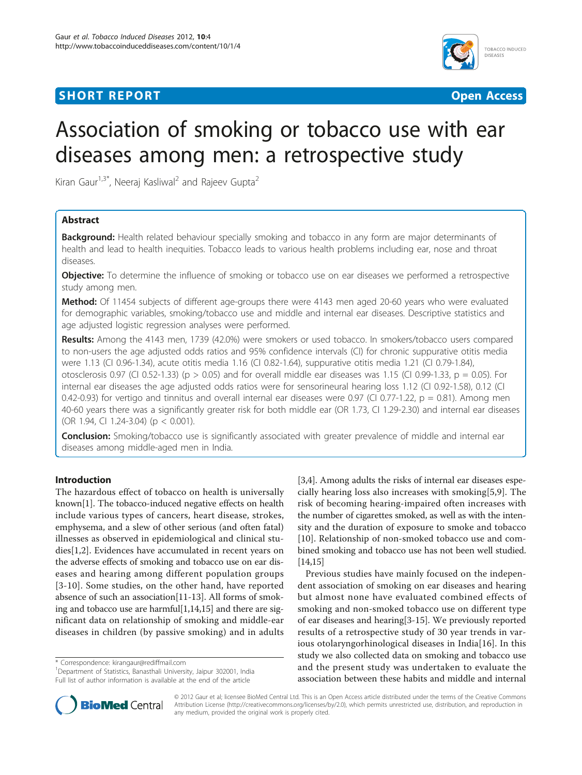## **SHORT REPORT CONSUMING THE CONSUMING OPEN ACCESS**



# Association of smoking or tobacco use with ear diseases among men: a retrospective study

Kiran Gaur<sup>1,3\*</sup>, Neeraj Kasliwal<sup>2</sup> and Rajeev Gupta<sup>2</sup>

## Abstract

**Background:** Health related behaviour specially smoking and tobacco in any form are major determinants of health and lead to health inequities. Tobacco leads to various health problems including ear, nose and throat diseases.

**Objective:** To determine the influence of smoking or tobacco use on ear diseases we performed a retrospective study among men.

Method: Of 11454 subjects of different age-groups there were 4143 men aged 20-60 years who were evaluated for demographic variables, smoking/tobacco use and middle and internal ear diseases. Descriptive statistics and age adjusted logistic regression analyses were performed.

Results: Among the 4143 men, 1739 (42.0%) were smokers or used tobacco. In smokers/tobacco users compared to non-users the age adjusted odds ratios and 95% confidence intervals (CI) for chronic suppurative otitis media were 1.13 (CI 0.96-1.34), acute otitis media 1.16 (CI 0.82-1.64), suppurative otitis media 1.21 (CI 0.79-1.84), otosclerosis 0.97 (CI 0.52-1.33) (p > 0.05) and for overall middle ear diseases was 1.15 (CI 0.99-1.33, p = 0.05). For internal ear diseases the age adjusted odds ratios were for sensorineural hearing loss 1.12 (CI 0.92-1.58), 0.12 (CI 0.42-0.93) for vertigo and tinnitus and overall internal ear diseases were 0.97 (CI 0.77-1.22,  $p = 0.81$ ). Among men 40-60 years there was a significantly greater risk for both middle ear (OR 1.73, CI 1.29-2.30) and internal ear diseases (OR 1.94, CI 1.24-3.04) (p < 0.001).

**Conclusion:** Smoking/tobacco use is significantly associated with greater prevalence of middle and internal ear diseases among middle-aged men in India.

## Introduction

The hazardous effect of tobacco on health is universally known[\[1](#page-3-0)]. The tobacco-induced negative effects on health include various types of cancers, heart disease, strokes, emphysema, and a slew of other serious (and often fatal) illnesses as observed in epidemiological and clinical studies[[1,2](#page-3-0)]. Evidences have accumulated in recent years on the adverse effects of smoking and tobacco use on ear diseases and hearing among different population groups [[3](#page-3-0)-[10](#page-3-0)]. Some studies, on the other hand, have reported absence of such an association[[11-13\]](#page-3-0). All forms of smoking and tobacco use are harmful[[1,14,15](#page-3-0)] and there are significant data on relationship of smoking and middle-ear diseases in children (by passive smoking) and in adults

\* Correspondence: [kirangaur@rediffmail.com](mailto:kirangaur@rediffmail.com)

<sup>1</sup>Department of Statistics, Banasthali University, Jaipur 302001, India Full list of author information is available at the end of the article



Previous studies have mainly focused on the independent association of smoking on ear diseases and hearing but almost none have evaluated combined effects of smoking and non-smoked tobacco use on different type of ear diseases and hearing[[3-15\]](#page-3-0). We previously reported results of a retrospective study of 30 year trends in various otolaryngorhinological diseases in India[\[16](#page-3-0)]. In this study we also collected data on smoking and tobacco use and the present study was undertaken to evaluate the association between these habits and middle and internal



© 2012 Gaur et al; licensee BioMed Central Ltd. This is an Open Access article distributed under the terms of the Creative Commons Attribution License [\(http://creativecommons.org/licenses/by/2.0](http://creativecommons.org/licenses/by/2.0)), which permits unrestricted use, distribution, and reproduction in any medium, provided the original work is properly cited.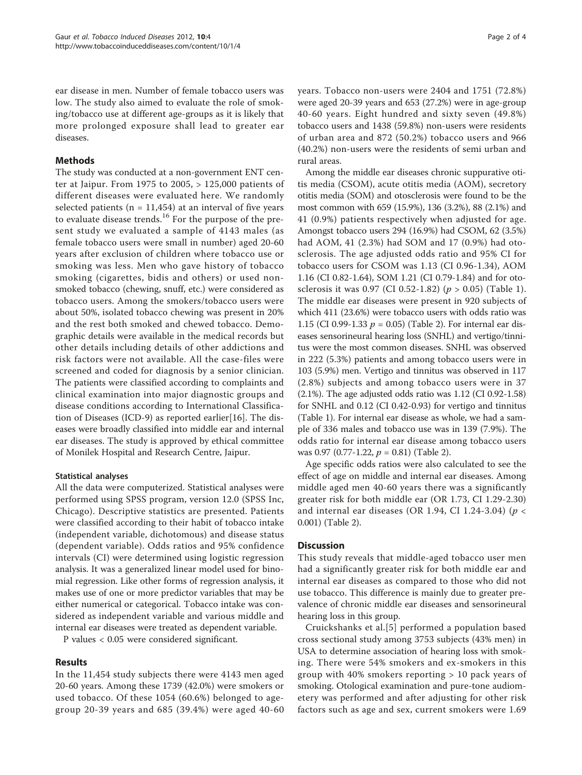ear disease in men. Number of female tobacco users was low. The study also aimed to evaluate the role of smoking/tobacco use at different age-groups as it is likely that more prolonged exposure shall lead to greater ear diseases.

## Methods

The study was conducted at a non-government ENT center at Jaipur. From 1975 to 2005, > 125,000 patients of different diseases were evaluated here. We randomly selected patients ( $n = 11,454$ ) at an interval of five years to evaluate disease trends. $16$  For the purpose of the present study we evaluated a sample of 4143 males (as female tobacco users were small in number) aged 20-60 years after exclusion of children where tobacco use or smoking was less. Men who gave history of tobacco smoking (cigarettes, bidis and others) or used nonsmoked tobacco (chewing, snuff, etc.) were considered as tobacco users. Among the smokers/tobacco users were about 50%, isolated tobacco chewing was present in 20% and the rest both smoked and chewed tobacco. Demographic details were available in the medical records but other details including details of other addictions and risk factors were not available. All the case-files were screened and coded for diagnosis by a senior clinician. The patients were classified according to complaints and clinical examination into major diagnostic groups and disease conditions according to International Classification of Diseases (ICD-9) as reported earlier[[16\]](#page-3-0). The diseases were broadly classified into middle ear and internal ear diseases. The study is approved by ethical committee of Monilek Hospital and Research Centre, Jaipur.

## Statistical analyses

All the data were computerized. Statistical analyses were performed using SPSS program, version 12.0 (SPSS Inc, Chicago). Descriptive statistics are presented. Patients were classified according to their habit of tobacco intake (independent variable, dichotomous) and disease status (dependent variable). Odds ratios and 95% confidence intervals (CI) were determined using logistic regression analysis. It was a generalized linear model used for binomial regression. Like other forms of regression analysis, it makes use of one or more predictor variables that may be either numerical or categorical. Tobacco intake was considered as independent variable and various middle and internal ear diseases were treated as dependent variable.

P values < 0.05 were considered significant.

## Results

In the 11,454 study subjects there were 4143 men aged 20-60 years. Among these 1739 (42.0%) were smokers or used tobacco. Of these 1054 (60.6%) belonged to agegroup 20-39 years and 685 (39.4%) were aged 40-60 years. Tobacco non-users were 2404 and 1751 (72.8%) were aged 20-39 years and 653 (27.2%) were in age-group 40-60 years. Eight hundred and sixty seven (49.8%) tobacco users and 1438 (59.8%) non-users were residents of urban area and 872 (50.2%) tobacco users and 966 (40.2%) non-users were the residents of semi urban and rural areas.

Among the middle ear diseases chronic suppurative otitis media (CSOM), acute otitis media (AOM), secretory otitis media (SOM) and otosclerosis were found to be the most common with 659 (15.9%), 136 (3.2%), 88 (2.1%) and 41 (0.9%) patients respectively when adjusted for age. Amongst tobacco users 294 (16.9%) had CSOM, 62 (3.5%) had AOM, 41 (2.3%) had SOM and 17 (0.9%) had otosclerosis. The age adjusted odds ratio and 95% CI for tobacco users for CSOM was 1.13 (CI 0.96-1.34), AOM 1.16 (CI 0.82-1.64), SOM 1.21 (CI 0.79-1.84) and for otosclerosis it was 0.97 (CI 0.52-1.82) ( $p > 0.05$ ) (Table [1](#page-2-0)). The middle ear diseases were present in 920 subjects of which 411 (23.6%) were tobacco users with odds ratio was 1.15 (CI 0.99-1.33  $p = 0.05$ ) (Table [2\)](#page-2-0). For internal ear diseases sensorineural hearing loss (SNHL) and vertigo/tinnitus were the most common diseases. SNHL was observed in 222 (5.3%) patients and among tobacco users were in 103 (5.9%) men. Vertigo and tinnitus was observed in 117 (2.8%) subjects and among tobacco users were in 37 (2.1%). The age adjusted odds ratio was 1.12 (CI 0.92-1.58) for SNHL and 0.12 (CI 0.42-0.93) for vertigo and tinnitus (Table [1\)](#page-2-0). For internal ear disease as whole, we had a sample of 336 males and tobacco use was in 139 (7.9%). The odds ratio for internal ear disease among tobacco users was 0.97 (0.77-1.22,  $p = 0.81$ ) (Table [2](#page-2-0)).

Age specific odds ratios were also calculated to see the effect of age on middle and internal ear diseases. Among middle aged men 40-60 years there was a significantly greater risk for both middle ear (OR 1.73, CI 1.29-2.30) and internal ear diseases (OR 1.94, CI 1.24-3.04) ( $p <$ 0.001) (Table [2\)](#page-2-0).

### **Discussion**

This study reveals that middle-aged tobacco user men had a significantly greater risk for both middle ear and internal ear diseases as compared to those who did not use tobacco. This difference is mainly due to greater prevalence of chronic middle ear diseases and sensorineural hearing loss in this group.

Cruickshanks et al.[[5](#page-3-0)] performed a population based cross sectional study among 3753 subjects (43% men) in USA to determine association of hearing loss with smoking. There were 54% smokers and ex-smokers in this group with 40% smokers reporting > 10 pack years of smoking. Otological examination and pure-tone audiometery was performed and after adjusting for other risk factors such as age and sex, current smokers were 1.69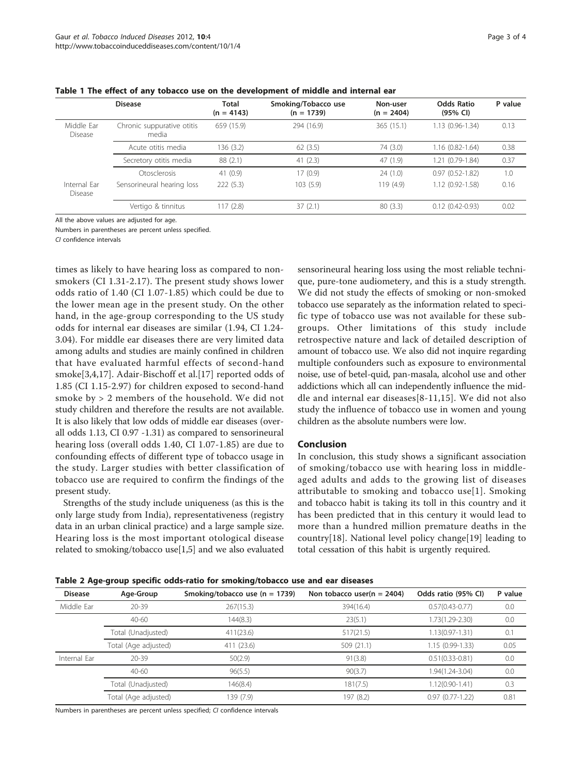|                         | <b>Disease</b>                      | Total<br>$(n = 4143)$ | Smoking/Tobacco use<br>$(n = 1739)$ | Non-user<br>$(n = 2404)$ | Odds Ratio<br>(95% CI) | P value |
|-------------------------|-------------------------------------|-----------------------|-------------------------------------|--------------------------|------------------------|---------|
| Middle Far<br>Disease   | Chronic suppurative otitis<br>media | 659 (15.9)            | 294 (16.9)                          | 365 (15.1)               | 1.13 (0.96-1.34)       | 0.13    |
|                         | Acute otitis media                  | 136 (3.2)             | 62(3.5)                             | 74 (3.0)                 | $1.16(0.82 - 1.64)$    | 0.38    |
|                         | Secretory otitis media              | 88 (2.1)              | 41(2.3)                             | 47(1.9)                  | 1.21 (0.79-1.84)       | 0.37    |
|                         | Otosclerosis                        | 41(0.9)               | 17(0.9)                             | 24(1.0)                  | $0.97(0.52 - 1.82)$    | 1.0     |
| Internal Far<br>Disease | Sensorineural hearing loss          | 222(5.3)              | 103(5.9)                            | 119(4.9)                 | 1.12 (0.92-1.58)       | 0.16    |
|                         | Vertigo & tinnitus                  | 117 (2.8)             | 37(2.1)                             | 80(3.3)                  | $0.12(0.42 - 0.93)$    | 0.02    |

<span id="page-2-0"></span>Table 1 The effect of any tobacco use on the development of middle and internal ear

All the above values are adjusted for age.

Numbers in parentheses are percent unless specified.

CI confidence intervals

times as likely to have hearing loss as compared to nonsmokers (CI 1.31-2.17). The present study shows lower odds ratio of 1.40 (CI 1.07-1.85) which could be due to the lower mean age in the present study. On the other hand, in the age-group corresponding to the US study odds for internal ear diseases are similar (1.94, CI 1.24- 3.04). For middle ear diseases there are very limited data among adults and studies are mainly confined in children that have evaluated harmful effects of second-hand smoke[[3,4,17](#page-3-0)]. Adair-Bischoff et al.[[17\]](#page-3-0) reported odds of 1.85 (CI 1.15-2.97) for children exposed to second-hand smoke by > 2 members of the household. We did not study children and therefore the results are not available. It is also likely that low odds of middle ear diseases (overall odds 1.13, CI 0.97 -1.31) as compared to sensorineural hearing loss (overall odds 1.40, CI 1.07-1.85) are due to confounding effects of different type of tobacco usage in the study. Larger studies with better classification of tobacco use are required to confirm the findings of the present study.

Strengths of the study include uniqueness (as this is the only large study from India), representativeness (registry data in an urban clinical practice) and a large sample size. Hearing loss is the most important otological disease related to smoking/tobacco use[\[1,5](#page-3-0)] and we also evaluated

sensorineural hearing loss using the most reliable technique, pure-tone audiometery, and this is a study strength. We did not study the effects of smoking or non-smoked tobacco use separately as the information related to specific type of tobacco use was not available for these subgroups. Other limitations of this study include retrospective nature and lack of detailed description of amount of tobacco use. We also did not inquire regarding multiple confounders such as exposure to environmental noise, use of betel-quid, pan-masala, alcohol use and other addictions which all can independently influence the middle and internal ear diseases[[8-11,15](#page-3-0)]. We did not also study the influence of tobacco use in women and young children as the absolute numbers were low.

#### Conclusion

In conclusion, this study shows a significant association of smoking/tobacco use with hearing loss in middleaged adults and adds to the growing list of diseases attributable to smoking and tobacco use[[1](#page-3-0)]. Smoking and tobacco habit is taking its toll in this country and it has been predicted that in this century it would lead to more than a hundred million premature deaths in the country[[18\]](#page-3-0). National level policy change[\[19](#page-3-0)] leading to total cessation of this habit is urgently required.

|  |  |  | Table 2 Age-group specific odds-ratio for smoking/tobacco use and ear diseases |  |  |
|--|--|--|--------------------------------------------------------------------------------|--|--|
|--|--|--|--------------------------------------------------------------------------------|--|--|

| <b>Disease</b> | Age-Group            | Smoking/tobacco use ( $n = 1739$ ) | Non tobacco user( $n = 2404$ ) | Odds ratio (95% CI) | P value |
|----------------|----------------------|------------------------------------|--------------------------------|---------------------|---------|
| Middle Ear     | $20 - 39$            | 267(15.3)                          | 394(16.4)                      | $0.57(0.43 - 0.77)$ | 0.0     |
|                | $40 - 60$            | 144(8.3)                           | 23(5.1)                        | $1.73(1.29 - 2.30)$ | 0.0     |
|                | Total (Unadjusted)   | 411(23.6)                          | 517(21.5)                      | $1.13(0.97 - 1.31)$ | 0.1     |
|                | Total (Age adjusted) | 411 (23.6)                         | 509(21.1)                      | 1.15 (0.99-1.33)    | 0.05    |
| Internal Ear   | $20 - 39$            | 50(2.9)                            | 91(3.8)                        | $0.51(0.33 - 0.81)$ | 0.0     |
|                | $40 - 60$            | 96(5.5)                            | 90(3.7)                        | 1.94(1.24-3.04)     | 0.0     |
|                | Total (Unadjusted)   | 146(8.4)                           | 181(7.5)                       | $1.12(0.90 - 1.41)$ | 0.3     |
|                | Total (Age adjusted) | 139 (7.9)                          | 197 (8.2)                      | $0.97(0.77-1.22)$   | 0.81    |

Numbers in parentheses are percent unless specified; CI confidence intervals